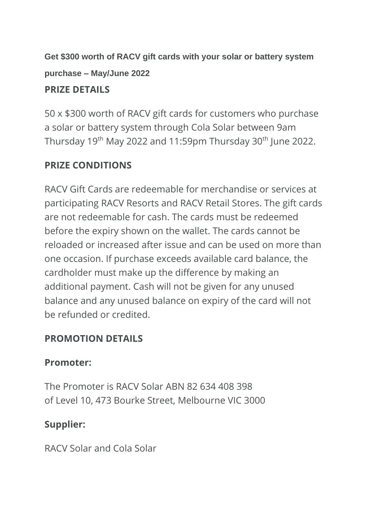**Get \$300 worth of RACV gift cards with your solar or battery system purchase – May/June 2022**

### **PRIZE DETAILS**

50 x \$300 worth of RACV gift cards for customers who purchase a solar or battery system through Cola Solar between 9am Thursday 19<sup>th</sup> May 2022 and 11:59pm Thursday 30<sup>th</sup> June 2022.

## **PRIZE CONDITIONS**

RACV Gift Cards are redeemable for merchandise or services at participating RACV Resorts and RACV Retail Stores. The gift cards are not redeemable for cash. The cards must be redeemed before the expiry shown on the wallet. The cards cannot be reloaded or increased after issue and can be used on more than one occasion. If purchase exceeds available card balance, the cardholder must make up the difference by making an additional payment. Cash will not be given for any unused balance and any unused balance on expiry of the card will not be refunded or credited.

# **PROMOTION DETAILS**

## **Promoter:**

The Promoter is RACV Solar ABN 82 634 408 398 of Level 10, 473 Bourke Street, Melbourne VIC 3000

# **Supplier:**

RACV Solar and Cola Solar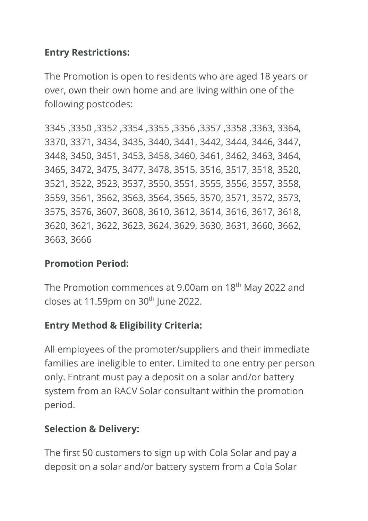### **Entry Restrictions:**

The Promotion is open to residents who are aged 18 years or over, own their own home and are living within one of the following postcodes:

3345 ,3350 ,3352 ,3354 ,3355 ,3356 ,3357 ,3358 ,3363, 3364, 3370, 3371, 3434, 3435, 3440, 3441, 3442, 3444, 3446, 3447, 3448, 3450, 3451, 3453, 3458, 3460, 3461, 3462, 3463, 3464, 3465, 3472, 3475, 3477, 3478, 3515, 3516, 3517, 3518, 3520, 3521, 3522, 3523, 3537, 3550, 3551, 3555, 3556, 3557, 3558, 3559, 3561, 3562, 3563, 3564, 3565, 3570, 3571, 3572, 3573, 3575, 3576, 3607, 3608, 3610, 3612, 3614, 3616, 3617, 3618, 3620, 3621, 3622, 3623, 3624, 3629, 3630, 3631, 3660, 3662, 3663, 3666

#### **Promotion Period:**

The Promotion commences at 9.00am on 18<sup>th</sup> May 2022 and closes at 11.59pm on  $30<sup>th</sup>$  June 2022.

## **Entry Method & Eligibility Criteria:**

All employees of the promoter/suppliers and their immediate families are ineligible to enter. Limited to one entry per person only. Entrant must pay a deposit on a solar and/or battery system from an RACV Solar consultant within the promotion period.

#### **Selection & Delivery:**

The first 50 customers to sign up with Cola Solar and pay a deposit on a solar and/or battery system from a Cola Solar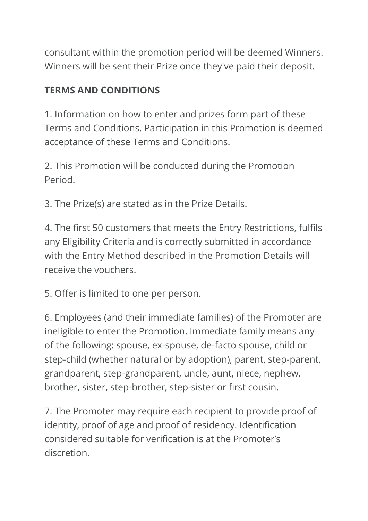consultant within the promotion period will be deemed Winners. Winners will be sent their Prize once they've paid their deposit.

### **TERMS AND CONDITIONS**

1. Information on how to enter and prizes form part of these Terms and Conditions. Participation in this Promotion is deemed acceptance of these Terms and Conditions.

2. This Promotion will be conducted during the Promotion Period.

3. The Prize(s) are stated as in the Prize Details.

4. The first 50 customers that meets the Entry Restrictions, fulfils any Eligibility Criteria and is correctly submitted in accordance with the Entry Method described in the Promotion Details will receive the vouchers.

5. Offer is limited to one per person.

6. Employees (and their immediate families) of the Promoter are ineligible to enter the Promotion. Immediate family means any of the following: spouse, ex-spouse, de-facto spouse, child or step-child (whether natural or by adoption), parent, step-parent, grandparent, step-grandparent, uncle, aunt, niece, nephew, brother, sister, step-brother, step-sister or first cousin.

7. The Promoter may require each recipient to provide proof of identity, proof of age and proof of residency. Identification considered suitable for verification is at the Promoter's discretion.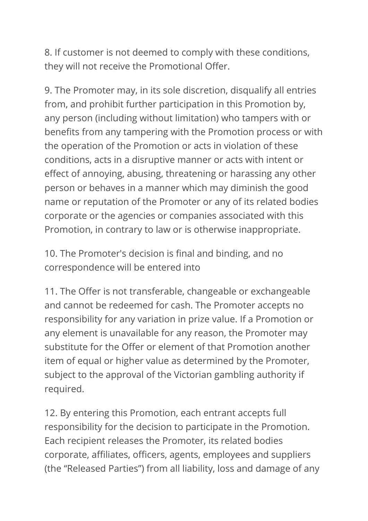8. If customer is not deemed to comply with these conditions, they will not receive the Promotional Offer.

9. The Promoter may, in its sole discretion, disqualify all entries from, and prohibit further participation in this Promotion by, any person (including without limitation) who tampers with or benefits from any tampering with the Promotion process or with the operation of the Promotion or acts in violation of these conditions, acts in a disruptive manner or acts with intent or effect of annoying, abusing, threatening or harassing any other person or behaves in a manner which may diminish the good name or reputation of the Promoter or any of its related bodies corporate or the agencies or companies associated with this Promotion, in contrary to law or is otherwise inappropriate.

10. The Promoter's decision is final and binding, and no correspondence will be entered into

11. The Offer is not transferable, changeable or exchangeable and cannot be redeemed for cash. The Promoter accepts no responsibility for any variation in prize value. If a Promotion or any element is unavailable for any reason, the Promoter may substitute for the Offer or element of that Promotion another item of equal or higher value as determined by the Promoter, subject to the approval of the Victorian gambling authority if required.

12. By entering this Promotion, each entrant accepts full responsibility for the decision to participate in the Promotion. Each recipient releases the Promoter, its related bodies corporate, affiliates, officers, agents, employees and suppliers (the "Released Parties") from all liability, loss and damage of any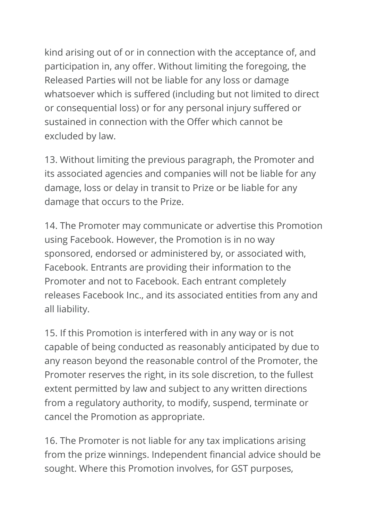kind arising out of or in connection with the acceptance of, and participation in, any offer. Without limiting the foregoing, the Released Parties will not be liable for any loss or damage whatsoever which is suffered (including but not limited to direct or consequential loss) or for any personal injury suffered or sustained in connection with the Offer which cannot be excluded by law.

13. Without limiting the previous paragraph, the Promoter and its associated agencies and companies will not be liable for any damage, loss or delay in transit to Prize or be liable for any damage that occurs to the Prize.

14. The Promoter may communicate or advertise this Promotion using Facebook. However, the Promotion is in no way sponsored, endorsed or administered by, or associated with, Facebook. Entrants are providing their information to the Promoter and not to Facebook. Each entrant completely releases Facebook Inc., and its associated entities from any and all liability.

15. If this Promotion is interfered with in any way or is not capable of being conducted as reasonably anticipated by due to any reason beyond the reasonable control of the Promoter, the Promoter reserves the right, in its sole discretion, to the fullest extent permitted by law and subject to any written directions from a regulatory authority, to modify, suspend, terminate or cancel the Promotion as appropriate.

16. The Promoter is not liable for any tax implications arising from the prize winnings. Independent financial advice should be sought. Where this Promotion involves, for GST purposes,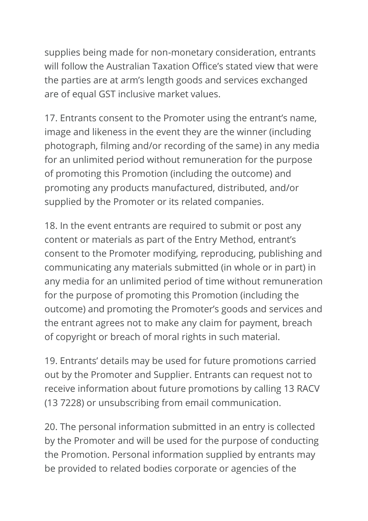supplies being made for non-monetary consideration, entrants will follow the Australian Taxation Office's stated view that were the parties are at arm's length goods and services exchanged are of equal GST inclusive market values.

17. Entrants consent to the Promoter using the entrant's name, image and likeness in the event they are the winner (including photograph, filming and/or recording of the same) in any media for an unlimited period without remuneration for the purpose of promoting this Promotion (including the outcome) and promoting any products manufactured, distributed, and/or supplied by the Promoter or its related companies.

18. In the event entrants are required to submit or post any content or materials as part of the Entry Method, entrant's consent to the Promoter modifying, reproducing, publishing and communicating any materials submitted (in whole or in part) in any media for an unlimited period of time without remuneration for the purpose of promoting this Promotion (including the outcome) and promoting the Promoter's goods and services and the entrant agrees not to make any claim for payment, breach of copyright or breach of moral rights in such material.

19. Entrants' details may be used for future promotions carried out by the Promoter and Supplier. Entrants can request not to receive information about future promotions by calling 13 RACV (13 7228) or unsubscribing from email communication.

20. The personal information submitted in an entry is collected by the Promoter and will be used for the purpose of conducting the Promotion. Personal information supplied by entrants may be provided to related bodies corporate or agencies of the